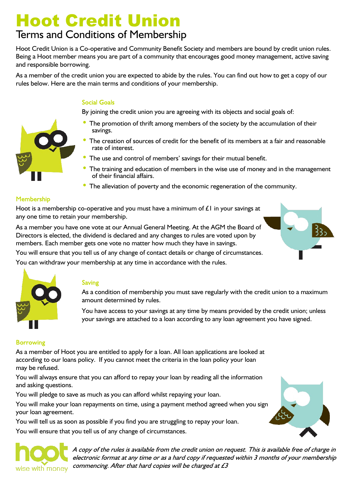# **Hoot Credit Union**

# Terms and Conditions of Membership

Hoot Credit Union is a Co-operative and Community Benefit Society and members are bound by credit union rules. Being a Hoot member means you are part of a community that encourages good money management, active saving and responsible borrowing.

As a member of the credit union you are expected to abide by the rules. You can find out how to get a copy of our rules below. Here are the main terms and conditions of your membership.

# **Social Goals**

By joining the credit union you are agreeing with its objects and social goals of:

- The promotion of thrift among members of the society by the accumulation of their savings.
- The creation of sources of credit for the benefit of its members at a fair and reasonable rate of interest.
- The use and control of members' savings for their mutual benefit.
- The training and education of members in the wise use of money and in the management of their financial affairs.
- The alleviation of poverty and the economic regeneration of the community.

#### **Membership**

Hoot is a membership co-operative and you must have a minimum of  $E1$  in your savings at any one time to retain your membership.

As a member you have one vote at our Annual General Meeting. At the AGM the Board of Directors is elected, the dividend is declared and any changes to rules are voted upon by members. Each member gets one vote no matter how much they have in savings.

You will ensure that you tell us of any change of contact details or change of circumstances. You can withdraw your membership at any time in accordance with the rules.



## **Saving**

As a condition of membership you must save regularly with the credit union to a maximum amount determined by rules.

You have access to your savings at any time by means provided by the credit union; unless your savings are attached to a loan according to any loan agreement you have signed.

## **Borrowing**

As a member of Hoot you are entitled to apply for a loan. All loan applications are looked at according to our loans policy. If you cannot meet the criteria in the loan policy your loan may be refused.

You will always ensure that you can afford to repay your loan by reading all the information and asking questions.

You will pledge to save as much as you can afford whilst repaying your loan.

You will make your loan repayments on time, using a payment method agreed when you sign your loan agreement.

You will tell us as soon as possible if you find you are struggling to repay your loan.

You will ensure that you tell us of any change of circumstances.



A copy of the rules is available from the credit union on request. This is available free of charge in electronic format at any time or as a hard copy if requested within 3 months of your membership commencing. After that hard copies will be charged at £3